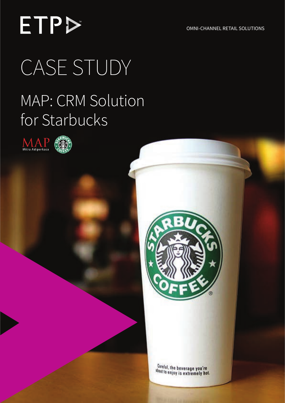OMNI-CHANNEL RETAIL SOLUTIONS

# **ETP>** CASE STUDY

### MAP: CRM Solution for Starbucks





Careful, the beverage you're thut to enjoy is extremely hot.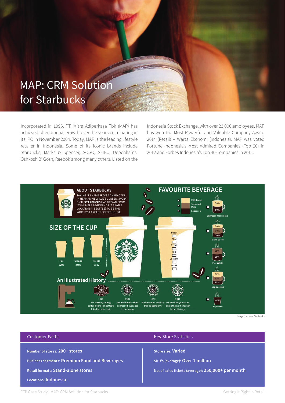### MAP: CRM Solution for Starbucks

Incorporated in 1995, PT. Mitra Adiperkasa Tbk (MAP) has achieved phenomenal growth over the years culminating in its IPO in November 2004. Today, MAP is the leading lifestyle retailer in Indonesia. Some of its iconic brands include Starbucks, Marks & Spencer, SOGO, SEIBU, Debenhams, Oshkosh B' Gosh, Reebok among many others. Listed on the

Indonesia Stock Exchange, with over 23,000 employees, MAP has won the Most Powerful and Valuable Company Award 2014 (Retail) – Warta Ekonomi (Indonesia). MAP was voted Fortune Indonesia's Most Admired Companies (Top 20) in 2012 and Forbes Indonesia's Top 40 Companies in 2011.



#### Customer Facts

**Number of stores: 200+ stores Business segments: Premium Food and Beverages Retail formats: Stand-alone stores Locations: Indonesia**

#### Key Store Statistics

**Store size: Varied**

**SKU's (average): Over 1 million** 

**No. of sales tickets (average): 250,000+ per month**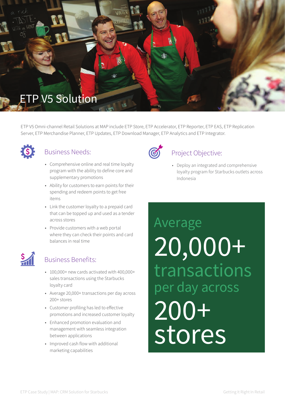

ETP V5 Omni-channel Retail Solutions at MAP include ETP Store, ETP Accelerator, ETP Reporter, ETP EAS, ETP Replication Server, ETP Merchandise Planner, ETP Updates, ETP Download Manager, ETP Analytics and ETP Integrator.



#### Business Needs:

- Comprehensive online and real time loyalty program with the ability to define core and supplementary promotions
- • Ability for customers to earn points for their spending and redeem points to get free items
- • Link the customer loyalty to a prepaid card that can be topped up and used as a tender across stores
- • Provide customers with a web portal where they can check their points and card balances in real time



#### Business Benefits:

- • 100,000+ new cards activated with 400,000+ sales transactions using the Starbucks loyalty card
- • Average 20,000+ transactions per day across 200+ stores
- • Customer profiling has led to effective promotions and increased customer loyalty
- • Enhanced promotion evaluation and management with seamless integration between applications
- Improved cash flow with additional marketing capabilities



#### Project Objective:

• Deploy an integrated and comprehensive loyalty program for Starbucks outlets across Indonesia

### **200+ stores** Average 20,000+ 200+ stores transactions per day across